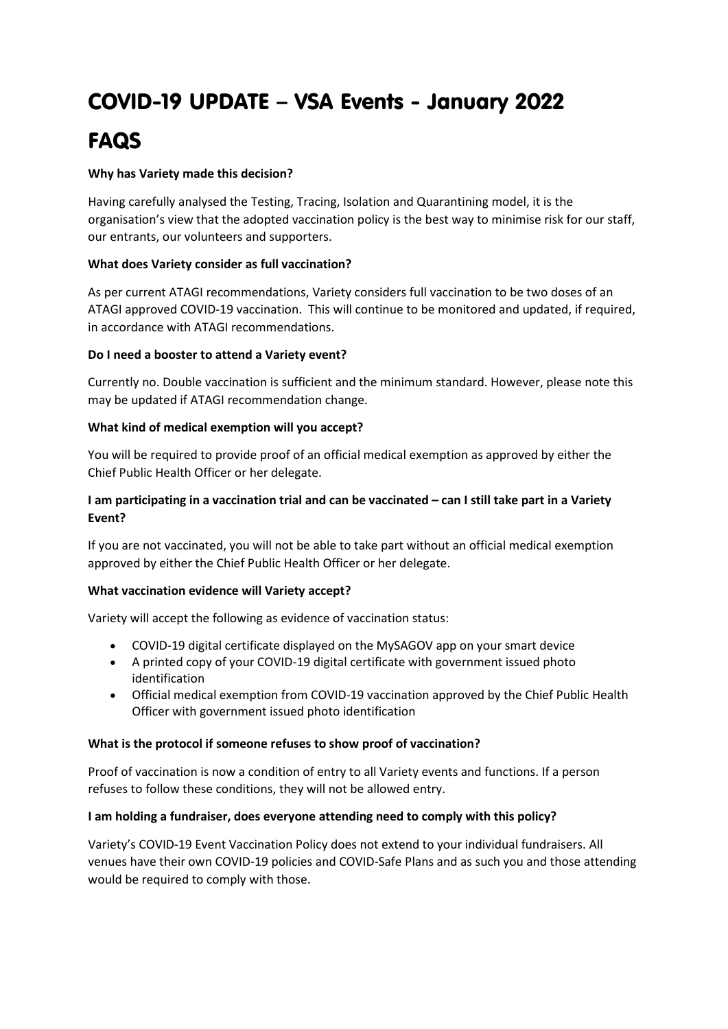# COVID-19 UPDATE – VSA Events - January 2022 FAQS

## **Why has Variety made this decision?**

Having carefully analysed the Testing, Tracing, Isolation and Quarantining model, it is the organisation's view that the adopted vaccination policy is the best way to minimise risk for our staff, our entrants, our volunteers and supporters.

## **What does Variety consider as full vaccination?**

As per current ATAGI recommendations, Variety considers full vaccination to be two doses of an ATAGI approved COVID-19 vaccination. This will continue to be monitored and updated, if required, in accordance with ATAGI recommendations.

## **Do I need a booster to attend a Variety event?**

Currently no. Double vaccination is sufficient and the minimum standard. However, please note this may be updated if ATAGI recommendation change.

## **What kind of medical exemption will you accept?**

You will be required to provide proof of an official medical exemption as approved by either the Chief Public Health Officer or her delegate.

# **I am participating in a vaccination trial and can be vaccinated – can I still take part in a Variety Event?**

If you are not vaccinated, you will not be able to take part without an official medical exemption approved by either the Chief Public Health Officer or her delegate.

#### **What vaccination evidence will Variety accept?**

Variety will accept the following as evidence of vaccination status:

- COVID-19 digital certificate displayed on the MySAGOV app on your smart device
- A printed copy of your COVID-19 digital certificate with government issued photo identification
- Official medical exemption from COVID-19 vaccination approved by the Chief Public Health Officer with government issued photo identification

#### **What is the protocol if someone refuses to show proof of vaccination?**

Proof of vaccination is now a condition of entry to all Variety events and functions. If a person refuses to follow these conditions, they will not be allowed entry.

# **I am holding a fundraiser, does everyone attending need to comply with this policy?**

Variety's COVID-19 Event Vaccination Policy does not extend to your individual fundraisers. All venues have their own COVID-19 policies and COVID-Safe Plans and as such you and those attending would be required to comply with those.